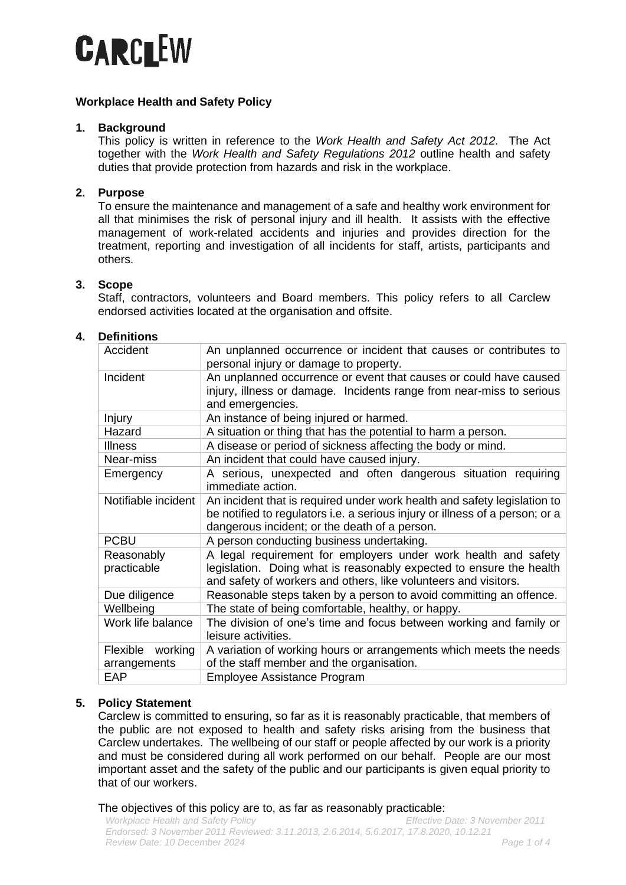

## **Workplace Health and Safety Policy**

## **1. Background**

This policy is written in reference to the *Work Health and Safety Act 2012.* The Act together with the *Work Health and Safety Regulations 2012* outline health and safety duties that provide protection from hazards and risk in the workplace.

# **2. Purpose**

To ensure the maintenance and management of a safe and healthy work environment for all that minimises the risk of personal injury and ill health. It assists with the effective management of work-related accidents and injuries and provides direction for the treatment, reporting and investigation of all incidents for staff, artists, participants and others.

## **3. Scope**

Staff, contractors, volunteers and Board members. This policy refers to all Carclew endorsed activities located at the organisation and offsite.

### **4. Definitions**

| An unplanned occurrence or incident that causes or contributes to<br>personal injury or damage to property.                                                                                               |
|-----------------------------------------------------------------------------------------------------------------------------------------------------------------------------------------------------------|
| An unplanned occurrence or event that causes or could have caused<br>injury, illness or damage. Incidents range from near-miss to serious<br>and emergencies.                                             |
| An instance of being injured or harmed.                                                                                                                                                                   |
| A situation or thing that has the potential to harm a person.                                                                                                                                             |
| A disease or period of sickness affecting the body or mind.                                                                                                                                               |
| An incident that could have caused injury.                                                                                                                                                                |
| A serious, unexpected and often dangerous situation requiring<br>immediate action.                                                                                                                        |
| An incident that is required under work health and safety legislation to<br>be notified to regulators i.e. a serious injury or illness of a person; or a<br>dangerous incident; or the death of a person. |
| A person conducting business undertaking.                                                                                                                                                                 |
| A legal requirement for employers under work health and safety<br>legislation. Doing what is reasonably expected to ensure the health<br>and safety of workers and others, like volunteers and visitors.  |
| Reasonable steps taken by a person to avoid committing an offence.                                                                                                                                        |
| The state of being comfortable, healthy, or happy.                                                                                                                                                        |
| The division of one's time and focus between working and family or<br>leisure activities.                                                                                                                 |
| A variation of working hours or arrangements which meets the needs<br>of the staff member and the organisation.                                                                                           |
| Employee Assistance Program                                                                                                                                                                               |
|                                                                                                                                                                                                           |

## **5. Policy Statement**

Carclew is committed to ensuring, so far as it is reasonably practicable, that members of the public are not exposed to health and safety risks arising from the business that Carclew undertakes. The wellbeing of our staff or people affected by our work is a priority and must be considered during all work performed on our behalf. People are our most important asset and the safety of the public and our participants is given equal priority to that of our workers.

The objectives of this policy are to, as far as reasonably practicable: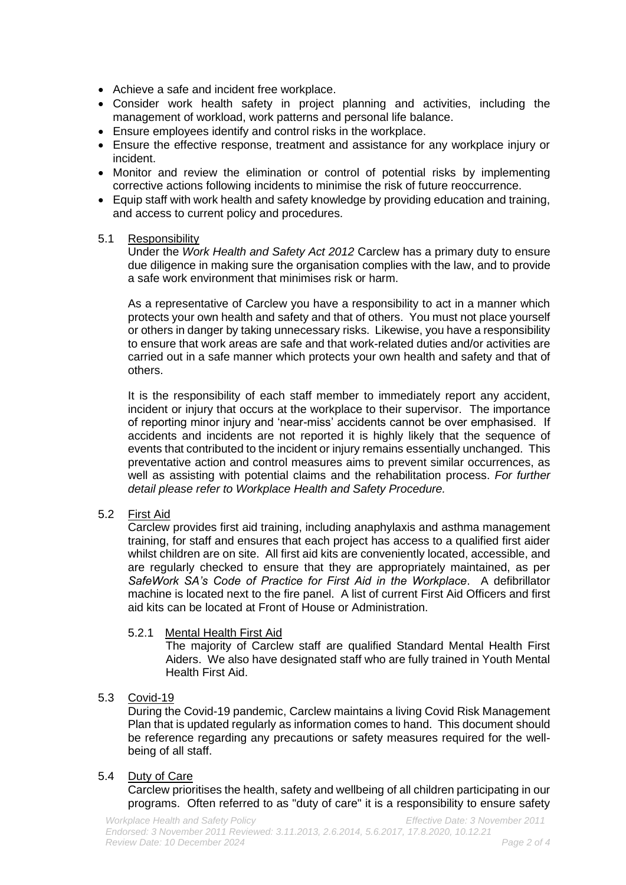- Achieve a safe and incident free workplace.
- Consider work health safety in project planning and activities, including the management of workload, work patterns and personal life balance.
- Ensure employees identify and control risks in the workplace.
- Ensure the effective response, treatment and assistance for any workplace injury or incident.
- Monitor and review the elimination or control of potential risks by implementing corrective actions following incidents to minimise the risk of future reoccurrence.
- Equip staff with work health and safety knowledge by providing education and training, and access to current policy and procedures.
- 5.1 Responsibility

Under the *Work Health and Safety Act 2012* Carclew has a primary duty to ensure due diligence in making sure the organisation complies with the law, and to provide a safe work environment that minimises risk or harm.

As a representative of Carclew you have a responsibility to act in a manner which protects your own health and safety and that of others. You must not place yourself or others in danger by taking unnecessary risks. Likewise, you have a responsibility to ensure that work areas are safe and that work-related duties and/or activities are carried out in a safe manner which protects your own health and safety and that of others.

It is the responsibility of each staff member to immediately report any accident, incident or injury that occurs at the workplace to their supervisor. The importance of reporting minor injury and 'near-miss' accidents cannot be over emphasised. If accidents and incidents are not reported it is highly likely that the sequence of events that contributed to the incident or injury remains essentially unchanged. This preventative action and control measures aims to prevent similar occurrences, as well as assisting with potential claims and the rehabilitation process. *For further detail please refer to Workplace Health and Safety Procedure.*

5.2 First Aid

Carclew provides first aid training, including anaphylaxis and asthma management training, for staff and ensures that each project has access to a qualified first aider whilst children are on site. All first aid kits are conveniently located, accessible, and are regularly checked to ensure that they are appropriately maintained, as per *SafeWork SA's Code of Practice for First Aid in the Workplace*. A defibrillator machine is located next to the fire panel. A list of current First Aid Officers and first aid kits can be located at Front of House or Administration.

## 5.2.1 Mental Health First Aid

The majority of Carclew staff are qualified Standard Mental Health First Aiders. We also have designated staff who are fully trained in Youth Mental Health First Aid.

## 5.3 Covid-19

During the Covid-19 pandemic, Carclew maintains a living Covid Risk Management Plan that is updated regularly as information comes to hand. This document should be reference regarding any precautions or safety measures required for the wellbeing of all staff.

## 5.4 Duty of Care

Carclew prioritises the health, safety and wellbeing of all children participating in our programs.Often referred to as "duty of care" it is a responsibility to ensure safety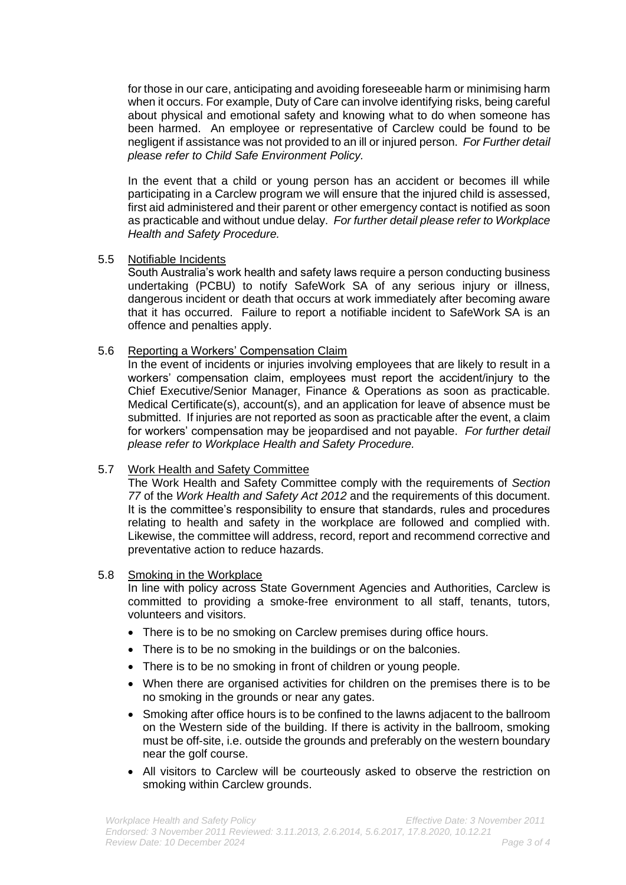for those in our care, anticipating and avoiding foreseeable harm or minimising harm when it occurs. For example, Duty of Care can involve identifying risks, being careful about physical and emotional safety and knowing what to do when someone has been harmed. An employee or representative of Carclew could be found to be negligent if assistance was not provided to an ill or injured person. *For Further detail please refer to Child Safe Environment Policy.*

In the event that a child or young person has an accident or becomes ill while participating in a Carclew program we will ensure that the injured child is assessed, first aid administered and their parent or other emergency contact is notified as soon as practicable and without undue delay. *For further detail please refer to Workplace Health and Safety Procedure.*

### 5.5 Notifiable Incidents

South Australia's work health and safety laws require a person conducting business undertaking (PCBU) to notify SafeWork SA of any serious injury or illness, dangerous incident or death that occurs at work immediately after becoming aware that it has occurred. Failure to report a notifiable incident to SafeWork SA is an offence and penalties apply.

## 5.6 Reporting a Workers' Compensation Claim

In the event of incidents or injuries involving employees that are likely to result in a workers' compensation claim, employees must report the accident/injury to the Chief Executive/Senior Manager, Finance & Operations as soon as practicable. Medical Certificate(s), account(s), and an application for leave of absence must be submitted. If injuries are not reported as soon as practicable after the event, a claim for workers' compensation may be jeopardised and not payable. *For further detail please refer to Workplace Health and Safety Procedure.*

#### 5.7 Work Health and Safety Committee

The Work Health and Safety Committee comply with the requirements of *Section 77* of the *Work Health and Safety Act 2012* and the requirements of this document. It is the committee's responsibility to ensure that standards, rules and procedures relating to health and safety in the workplace are followed and complied with. Likewise, the committee will address, record, report and recommend corrective and preventative action to reduce hazards.

#### 5.8 Smoking in the Workplace

In line with policy across State Government Agencies and Authorities, Carclew is committed to providing a smoke-free environment to all staff, tenants, tutors, volunteers and visitors.

- There is to be no smoking on Carclew premises during office hours.
- There is to be no smoking in the buildings or on the balconies.
- There is to be no smoking in front of children or young people.
- When there are organised activities for children on the premises there is to be no smoking in the grounds or near any gates.
- Smoking after office hours is to be confined to the lawns adjacent to the ballroom on the Western side of the building. If there is activity in the ballroom, smoking must be off-site, i.e. outside the grounds and preferably on the western boundary near the golf course.
- All visitors to Carclew will be courteously asked to observe the restriction on smoking within Carclew grounds.